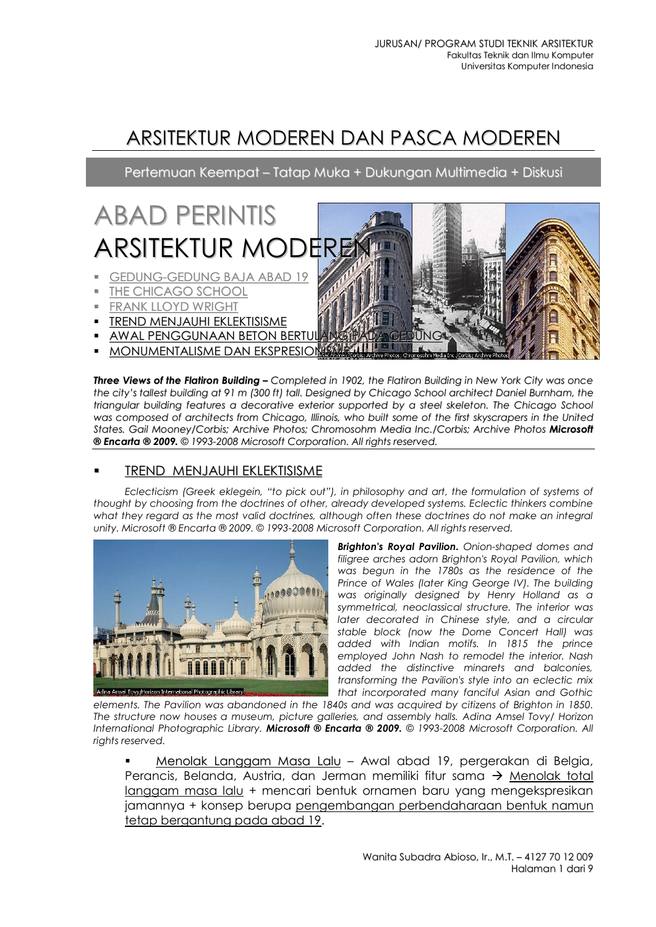## ARSITEKTUR MODEREN DAN PASCA MODEREN

Pertemuan Keempat – Tatap Muka + Dukungan Multimedia + Diskusi

# ABAD PERINTIS ARSITEKTUR MODER

- GEDUNG-GEDUNG BAJA ABAD 19
- **THE CHICAGO SCHOOL**
- FRANK LLOYD WRIGHT
- TREND MENJAUHI EKLEKTISISME
- AWAL PENGGUNAAN BETON BERTI
- MONUMENTALISME DAN EKSPRESIOI

Three Views of the Flatiron Building - Completed in 1902, the Flatiron Building in New York City was once the city's tallest building at 91 m (300 ft) tall. Designed by Chicago School architect Daniel Burnham, the *triangular building features a decorative exterior supported by a steel skeleton. The Chicago School was composed of architects from Chicago, Illinois, who built some of the first skyscrapers in the United States. Gail Mooney/Corbis; Archive Photos; Chromosohm Media Inc./Corbis; Archive Photos Microsoft ® Encarta ® 2009. © 1993-2008 Microsoft Corporation. All rights reserved.*

### TREND MENJAUHI EKLEKTISISME

*Eclecticism (Greek eklegein, "to pick out"), in philosophy and art, the formulation of systems of thought by choosing from the doctrines of other, already developed systems. Eclectic thinkers combine*  what they regard as the most valid doctrines, although often these doctrines do not make an integral *unity. Microsoft ® Encarta ® 2009. © 1993-2008 Microsoft Corporation. All rights reserved.*



*Brighton's Royal Pavilion. Onion-shaped domes and filigree arches adorn Brighton's Royal Pavilion, which was begun in the 1780s as the residence of the Prince of Wales (later King George IV). The building was originally designed by Henry Holland as a symmetrical, neoclassical structure. The interior was later decorated in Chinese style, and a circular stable block (now the Dome Concert Hall) was added with Indian motifs. In 1815 the prince employed John Nash to remodel the interior. Nash added the distinctive minarets and balconies, transforming the Pavilion's style into an eclectic mix that incorporated many fanciful Asian and Gothic* 

*elements. The Pavilion was abandoned in the 1840s and was acquired by citizens of Brighton in 1850. The structure now houses a museum, picture galleries, and assembly halls. Adina Amsel Tovy/ Horizon International Photographic Library. Microsoft ® Encarta ® 2009. © 1993-2008 Microsoft Corporation. All rights reserved.*

 Menolak Langgam Masa Lalu – Awal abad 19, pergerakan di Belgia, Perancis, Belanda, Austria, dan Jerman memiliki fitur sama  $\rightarrow$  Menolak total langgam masa lalu + mencari bentuk ornamen baru yang mengekspresikan jamannya + konsep berupa pengembangan perbendaharaan bentuk namun tetap bergantung pada abad 19.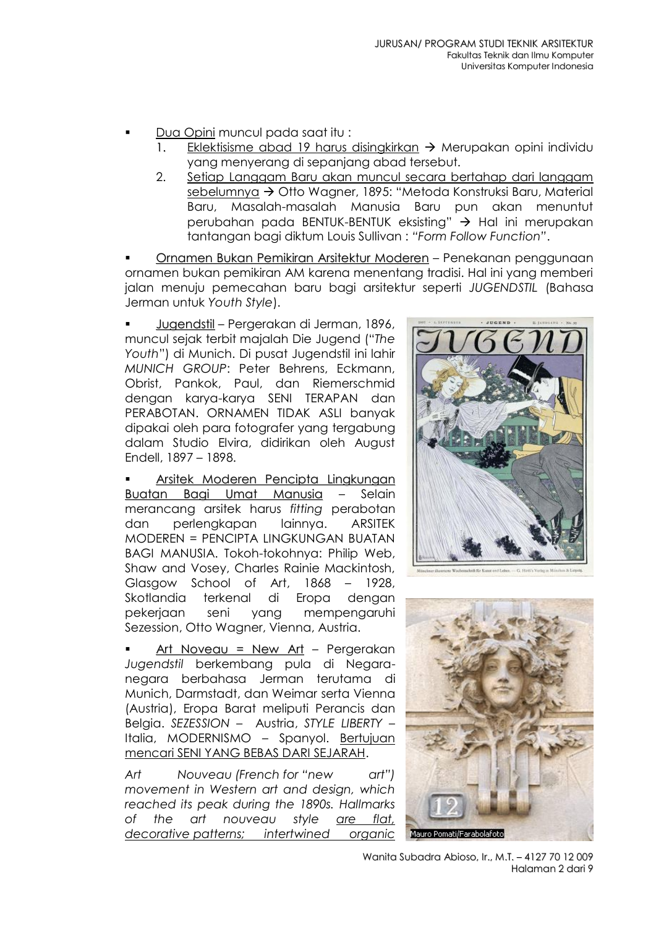- Dua Opini muncul pada saat itu :
	- 1. Eklektisisme abad 19 harus disingkirkan  $\rightarrow$  Merupakan opini individu yang menyerang di sepanjang abad tersebut.
	- 2. Setiap Langgam Baru akan muncul secara bertahap dari langgam sebelumnya  $\rightarrow$  Otto Wagner, 1895: "Metoda Konstruksi Baru, Material Baru, Masalah-masalah Manusia Baru pun akan menuntut perubahan pada BENTUK-BENTUK eksisting" > Hal ini merupakan tantangan bagi diktum Louis Sullivan : *"Form Follow Function"*.

 Ornamen Bukan Pemikiran Arsitektur Moderen – Penekanan penggunaan ornamen bukan pemikiran AM karena menentang tradisi. Hal ini yang memberi jalan menuju pemecahan baru bagi arsitektur seperti *JUGENDSTIL* (Bahasa Jerman untuk *Youth Style*).

 Jugendstil – Pergerakan di Jerman, 1896, muncul sejak terbit majalah Die Jugend ("*The Youth*") di Munich. Di pusat Jugendstil ini lahir *MUNICH GROUP*: Peter Behrens, Eckmann, Obrist, Pankok, Paul, dan Riemerschmid dengan karya-karya SENI TERAPAN dan PERABOTAN. ORNAMEN TIDAK ASLI banyak dipakai oleh para fotografer yang tergabung dalam Studio Elvira, didirikan oleh August Endell, 1897 – 1898.

 Arsitek Moderen Pencipta Lingkungan Buatan Bagi Umat Manusia – Selain merancang arsitek harus *fitting* perabotan dan perlengkapan lainnya. ARSITEK MODEREN = PENCIPTA LINGKUNGAN BUATAN BAGI MANUSIA. Tokoh-tokohnya: Philip Web, Shaw and Vosey, Charles Rainie Mackintosh, Glasgow School of Art, 1868 – 1928, Skotlandia terkenal di Eropa dengan pekerjaan seni yang mempengaruhi Sezession, Otto Wagner, Vienna, Austria.

Art Noveau = New Art - Pergerakan *Jugendstil* berkembang pula di Negaranegara berbahasa Jerman terutama di Munich, Darmstadt, dan Weimar serta Vienna (Austria), Eropa Barat meliputi Perancis dan Belgia. *SEZESSION* – Austria, *STYLE LIBERTY* – Italia, MODERNISMO - Spanyol. Bertujuan mencari SENI YANG BEBAS DARI SEJARAH.

*Art Nouveau (French for "new art") movement in Western art and design, which reached its peak during the 1890s. Hallmarks of the art nouveau style are flat, decorative patterns; intertwined organic* 





Wanita Subadra Abioso, Ir., M.T. – 4127 70 12 009 Halaman 2 dari 9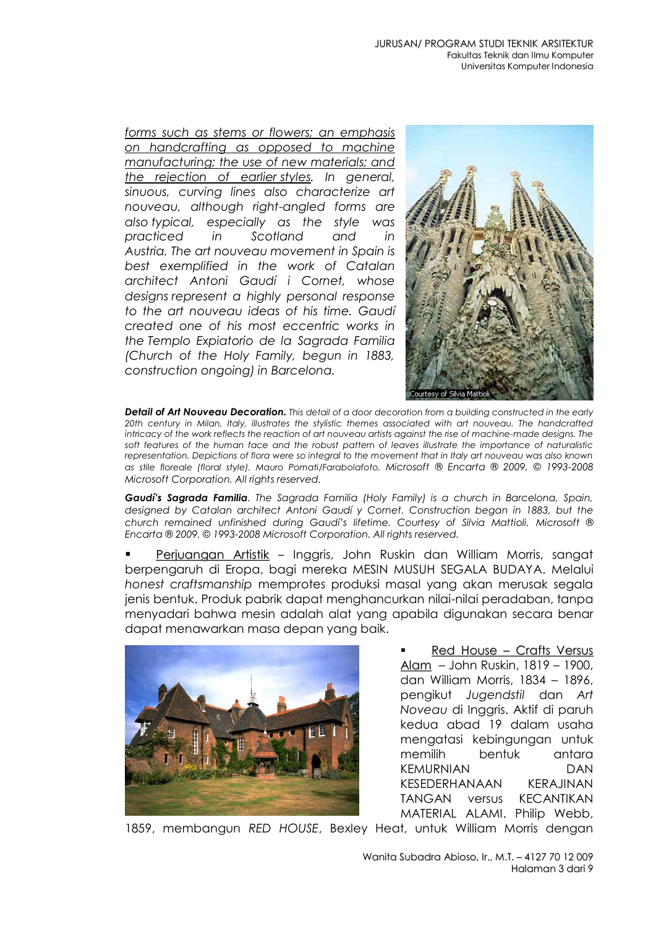*forms such as stems or flowers; an emphasis on handcrafting as opposed to machine manufacturing; the use of new materials; and the rejection of earlier styles. In general, sinuous, curving lines also characterize art nouveau, although right-angled forms are also typical, especially as the style was practiced in Scotland and in Austria. The art nouveau movement in Spain is best exemplified in the work of Catalan architect Antoni Gaudí i Cornet, whose designs represent a highly personal response to the art nouveau ideas of his time. Gaudí created one of his most eccentric works in the Templo Expiatorio de la Sagrada Familia (Church of the Holy Family, begun in 1883, construction ongoing) in Barcelona.*



*Detail of Art Nouveau Decoration. This detail of a door decoration from a building constructed in the early 20th century in Milan, Italy, illustrates the stylistic themes associated with art nouveau. The handcrafted intricacy of the work reflects the reaction of art nouveau artists against the rise of machine-made designs. The soft features of the human face and the robust pattern of leaves illustrate the importance of naturalistic representation. Depictions of flora were so integral to the movement that in Italy art nouveau was also known as stile floreale (floral style). Mauro Pomati/Farabolafoto. Microsoft ® Encarta ® 2009. © 1993-2008 Microsoft Corporation. All rights reserved.*

*Gaudí's Sagrada Familia. The Sagrada Familia (Holy Family) is a church in Barcelona, Spain,*  designed by Catalan architect Antoni Gaudí y Cornet. Construction began in 1883, but the *church remained unfinished during Gaudí's lifetime. Courtesy of Silvia Mattioli. Microsoft ® Encarta ® 2009. © 1993-2008 Microsoft Corporation. All rights reserved.*

 Perjuangan Artistik – Inggris, John Ruskin dan William Morris, sangat berpengaruh di Eropa, bagi mereka MESIN MUSUH SEGALA BUDAYA. Melalui *honest craftsmanship* memprotes produksi masal yang akan merusak segala jenis bentuk. Produk pabrik dapat menghancurkan nilai-nilai peradaban, tanpa menyadari bahwa mesin adalah alat yang apabila digunakan secara benar dapat menawarkan masa depan yang baik.



 Red House – Crafts Versus Alam – John Ruskin, 1819 – 1900, dan William Morris, 1834 – 1896, pengikut *Jugendstil* dan *Art Noveau* di Inggris. Aktif di paruh kedua abad 19 dalam usaha mengatasi kebingungan untuk memilih bentuk antara KEMURNIAN DAN KESEDERHANAAN KERAJINAN TANGAN versus KECANTIKAN MATERIAL ALAMI. Philip Webb,

1859, membangun *RED HOUSE*, Bexley Heat, untuk William Morris dengan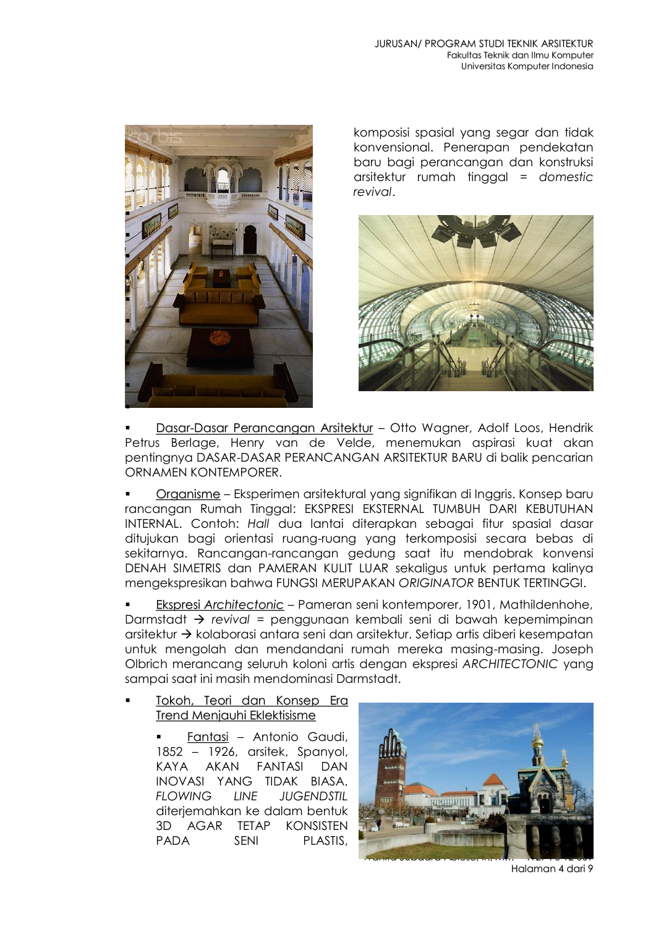

komposisi spasial yang segar dan tidak konvensional. Penerapan pendekatan baru bagi perancangan dan konstruksi arsitektur rumah tinggal = *domestic revival*.



 Dasar-Dasar Perancangan Arsitektur – Otto Wagner, Adolf Loos, Hendrik Petrus Berlage, Henry van de Velde, menemukan aspirasi kuat akan pentingnya DASAR-DASAR PERANCANGAN ARSITEKTUR BARU di balik pencarian ORNAMEN KONTEMPORER.

 Organisme – Eksperimen arsitektural yang signifikan di Inggris. Konsep baru rancangan Rumah Tinggal: EKSPRESI EKSTERNAL TUMBUH DARI KEBUTUHAN INTERNAL. Contoh: *Hall* dua lantai diterapkan sebagai fitur spasial dasar ditujukan bagi orientasi ruang-ruang yang terkomposisi secara bebas di sekitarnya. Rancangan-rancangan gedung saat itu mendobrak konvensi DENAH SIMETRIS dan PAMERAN KULIT LUAR sekaligus untuk pertama kalinya mengekspresikan bahwa FUNGSI MERUPAKAN *ORIGINATOR* BENTUK TERTINGGI.

 Ekspresi *Architectonic* – Pameran seni kontemporer, 1901, Mathildenhohe, Darmstadt *revival* = penggunaan kembali seni di bawah kepemimpinan arsitektur  $\rightarrow$  kolaborasi antara seni dan arsitektur. Setiap artis diberi kesempatan untuk mengolah dan mendandani rumah mereka masing-masing. Joseph Olbrich merancang seluruh koloni artis dengan ekspresi *ARCHITECTONIC* yang sampai saat ini masih mendominasi Darmstadt.

 Tokoh, Teori dan Konsep Era Trend Menjauhi Eklektisisme

> Fantasi – Antonio Gaudi, 1852 – 1926, arsitek, Spanyol, KAYA AKAN FANTASI DAN INOVASI YANG TIDAK BIASA. *FLOWING LINE JUGENDSTIL* diterjemahkan ke dalam bentuk 3D AGAR TETAP KONSISTEN PADA SENI PLASTIS,



Halaman 4 dari 9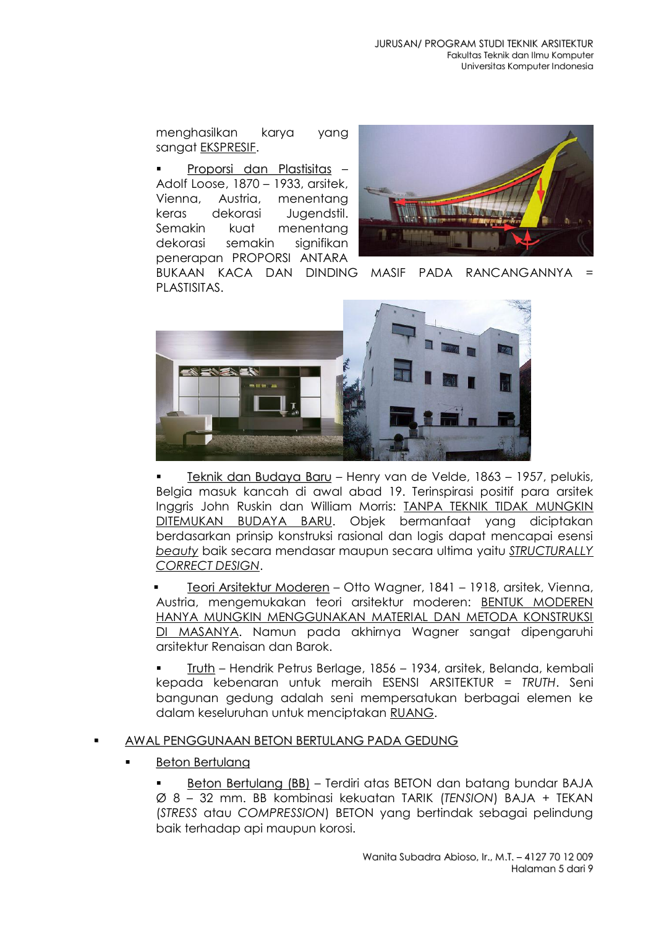menghasilkan karya yang sangat EKSPRESIF.

 Proporsi dan Plastisitas – Adolf Loose, 1870 – 1933, arsitek, Vienna, Austria, menentang keras dekorasi Jugendstil. Semakin kuat menentang dekorasi semakin signifikan penerapan PROPORSI ANTARA



BUKAAN KACA DAN DINDING MASIF PADA RANCANGANNYA PLASTISITAS.



 Teknik dan Budaya Baru – Henry van de Velde, 1863 – 1957, pelukis, Belgia masuk kancah di awal abad 19. Terinspirasi positif para arsitek Inggris John Ruskin dan William Morris: TANPA TEKNIK TIDAK MUNGKIN DITEMUKAN BUDAYA BARU. Objek bermanfaat yang diciptakan berdasarkan prinsip konstruksi rasional dan logis dapat mencapai esensi *beauty* baik secara mendasar maupun secara ultima yaitu *STRUCTURALLY CORRECT DESIGN*.

 Teori Arsitektur Moderen – Otto Wagner, 1841 – 1918, arsitek, Vienna, Austria, mengemukakan teori arsitektur moderen: BENTUK MODEREN HANYA MUNGKIN MENGGUNAKAN MATERIAL DAN METODA KONSTRUKSI DI MASANYA. Namun pada akhirnya Wagner sangat dipengaruhi arsitektur Renaisan dan Barok.

 Truth *–* Hendrik Petrus Berlage, 1856 – 1934, arsitek, Belanda, kembali kepada kebenaran untuk meraih ESENSI ARSITEKTUR = *TRUTH*. Seni bangunan gedung adalah seni mempersatukan berbagai elemen ke dalam keseluruhan untuk menciptakan RUANG.

#### AWAL PENGGUNAAN BETON BERTULANG PADA GEDUNG

Beton Bertulang

 Beton Bertulang (BB) – Terdiri atas BETON dan batang bundar BAJA Ø 8 – 32 mm. BB kombinasi kekuatan TARIK (*TENSION*) BAJA + TEKAN (*STRESS* atau *COMPRESSION*) BETON yang bertindak sebagai pelindung baik terhadap api maupun korosi.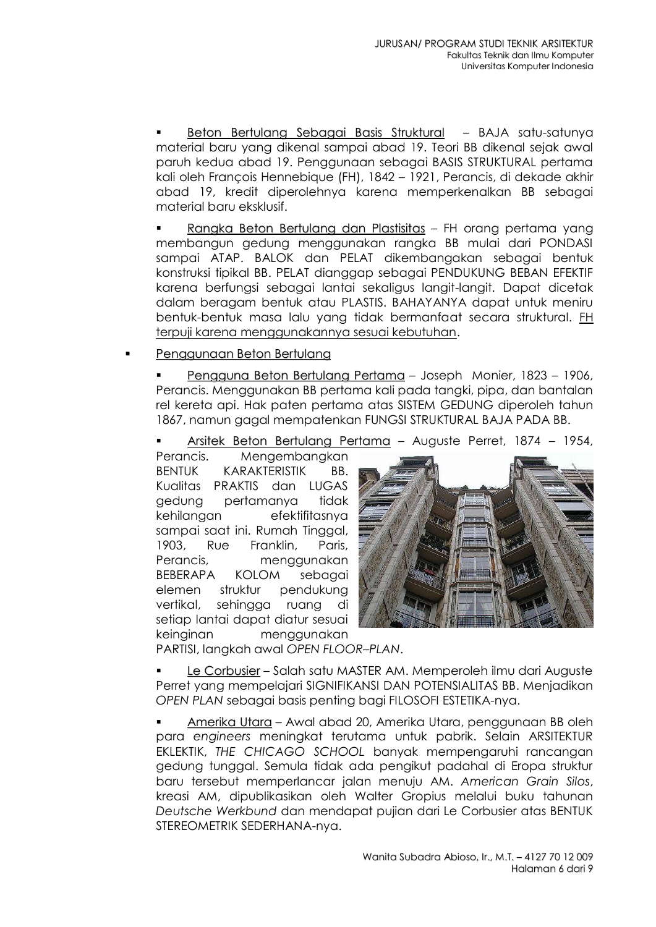Beton Bertulang Sebagai Basis Struktural– BAJA satu-satunya material baru yang dikenal sampai abad 19. Teori BB dikenal sejak awal paruh kedua abad 19. Penggunaan sebagai BASIS STRUKTURAL pertama kali oleh François Hennebique (FH), 1842 – 1921, Perancis, di dekade akhir abad 19, kredit diperolehnya karena memperkenalkan BB sebagai material baru eksklusif.

Rangka Beton Bertulang dan Plastisitas - FH orang pertama yang membangun gedung menggunakan rangka BB mulai dari PONDASI sampai ATAP. BALOK dan PELAT dikembangakan sebagai bentuk konstruksi tipikal BB. PELAT dianggap sebagai PENDUKUNG BEBAN EFEKTIF karena berfungsi sebagai lantai sekaligus langit-langit. Dapat dicetak dalam beragam bentuk atau PLASTIS. BAHAYANYA dapat untuk meniru bentuk-bentuk masa lalu yang tidak bermanfaat secara struktural. **FH** terpuji karena menggunakannya sesuai kebutuhan.

#### Penggunaan Beton Bertulang

 Pengguna Beton Bertulang Pertama – Joseph Monier, 1823 – 1906, Perancis. Menggunakan BB pertama kali pada tangki, pipa, dan bantalan rel kereta api. Hak paten pertama atas SISTEM GEDUNG diperoleh tahun 1867, namun gagal mempatenkan FUNGSI STRUKTURAL BAJA PADA BB.

Arsitek Beton Bertulang Pertama – Auguste Perret, 1874 – 1954,

Perancis. Mengembangkan BENTUK KARAKTERISTIK BB. Kualitas PRAKTIS dan LUGAS gedung pertamanya tidak kehilangan efektifitasnya sampai saat ini. Rumah Tinggal, 1903, Rue Franklin, Paris, Perancis, menggunakan BEBERAPA KOLOM sebagai elemen struktur pendukung vertikal, sehingga ruang di setiap lantai dapat diatur sesuai keinginan menggunakan



PARTISI, langkah awal *OPEN FLOOR–PLAN*.

 Le Corbusier – Salah satu MASTER AM. Memperoleh ilmu dari Auguste Perret yang mempelajari SIGNIFIKANSI DAN POTENSIALITAS BB. Menjadikan *OPEN PLAN* sebagai basis penting bagi FILOSOFI ESTETIKA-nya.

 Amerika Utara – Awal abad 20, Amerika Utara, penggunaan BB oleh para *engineers* meningkat terutama untuk pabrik. Selain ARSITEKTUR EKLEKTIK, *THE CHICAGO SCHOOL* banyak mempengaruhi rancangan gedung tunggal. Semula tidak ada pengikut padahal di Eropa struktur baru tersebut memperlancar jalan menuju AM. *American Grain Silos*, kreasi AM, dipublikasikan oleh Walter Gropius melalui buku tahunan *Deutsche Werkbund* dan mendapat pujian dari Le Corbusier atas BENTUK STEREOMETRIK SEDERHANA-nya.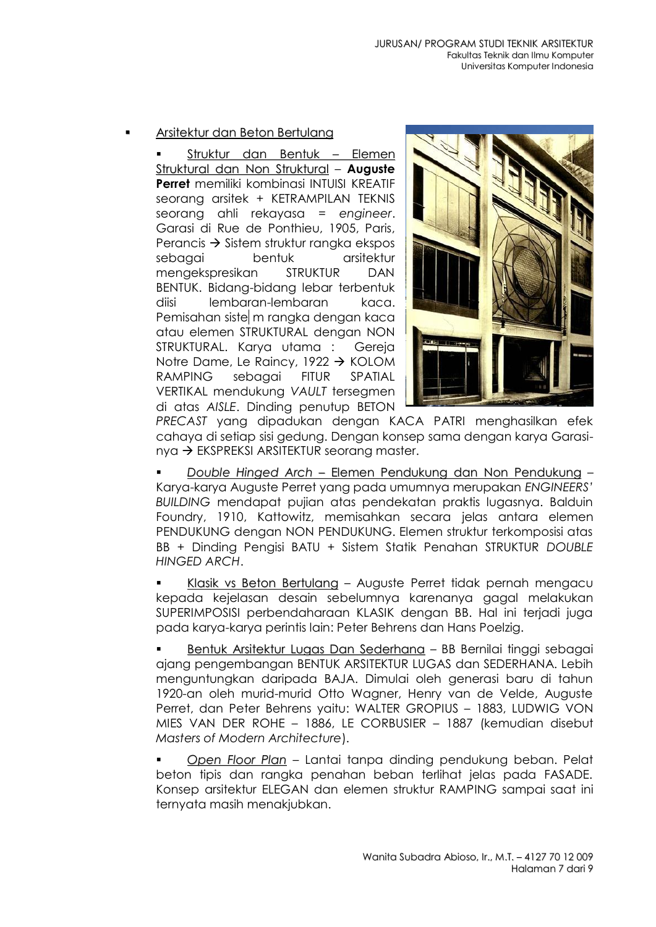Arsitektur dan Beton Bertulang

 Struktur dan Bentuk – Elemen Struktural dan Non Struktural – **Auguste Perret** memiliki kombinasi INTUISI KREATIF seorang arsitek + KETRAMPILAN TEKNIS seorang ahli rekayasa = *engineer*. Garasi di Rue de Ponthieu, 1905, Paris, Perancis  $\rightarrow$  Sistem struktur rangka ekspos sebagai bentuk arsitektur mengekspresikan STRUKTUR DAN BENTUK. Bidang-bidang lebar terbentuk diisi lembaran-lembaran kaca. Pemisahan siste m rangka dengan kaca atau elemen STRUKTURAL dengan NON STRUKTURAL. Karya utama : Gereja Notre Dame, Le Raincy, 1922 → KOLOM RAMPING sebagai FITUR SPATIAL VERTIKAL mendukung *VAULT* tersegmen di atas *AISLE*. Dinding penutup BETON



*PRECAST* yang dipadukan dengan KACA PATRI menghasilkan efek cahaya di setiap sisi gedung. Dengan konsep sama dengan karya Garasinya → EKSPREKSI ARSITEKTUR seorang master.

 *Double Hinged Arch* – Elemen Pendukung dan Non Pendukung – Karya-karya Auguste Perret yang pada umumnya merupakan *ENGINEERS' BUILDING* mendapat pujian atas pendekatan praktis lugasnya. Balduin Foundry, 1910, Kattowitz, memisahkan secara jelas antara elemen PENDUKUNG dengan NON PENDUKUNG. Elemen struktur terkomposisi atas BB + Dinding Pengisi BATU + Sistem Statik Penahan STRUKTUR *DOUBLE HINGED ARCH*.

 Klasik vs Beton Bertulang – Auguste Perret tidak pernah mengacu kepada kejelasan desain sebelumnya karenanya gagal melakukan SUPERIMPOSISI perbendaharaan KLASIK dengan BB. Hal ini terjadi juga pada karya-karya perintis lain: Peter Behrens dan Hans Poelzig.

Bentuk Arsitektur Lugas Dan Sederhana - BB Bernilai tinggi sebagai ajang pengembangan BENTUK ARSITEKTUR LUGAS dan SEDERHANA. Lebih menguntungkan daripada BAJA. Dimulai oleh generasi baru di tahun 1920-an oleh murid-murid Otto Wagner, Henry van de Velde, Auguste Perret, dan Peter Behrens yaitu: WALTER GROPIUS – 1883, LUDWIG VON MIES VAN DER ROHE – 1886, LE CORBUSIER – 1887 (kemudian disebut *Masters of Modern Architecture*).

 *Open Floor Plan* – Lantai tanpa dinding pendukung beban. Pelat beton tipis dan rangka penahan beban terlihat jelas pada FASADE. Konsep arsitektur ELEGAN dan elemen struktur RAMPING sampai saat ini ternyata masih menakjubkan.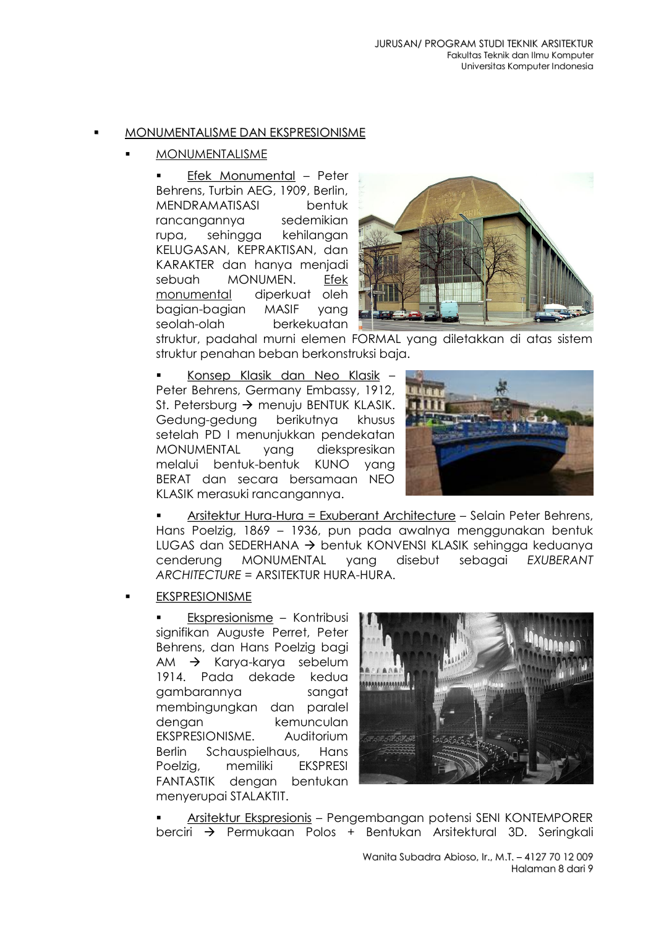#### MONUMENTALISME DAN EKSPRESIONISME

MONUMENTALISME

 Efek Monumental – Peter Behrens, Turbin AEG, 1909, Berlin, MENDRAMATISASI bentuk rancangannya sedemikian rupa, sehingga kehilangan KELUGASAN, KEPRAKTISAN, dan KARAKTER dan hanya menjadi sebuah MONUMEN. Efek monumental diperkuat oleh bagian-bagian MASIF yang seolah-olah berkekuatan



struktur, padahal murni elemen FORMAL yang diletakkan di atas sistem struktur penahan beban berkonstruksi baja.

 Konsep Klasik dan Neo Klasik – Peter Behrens, Germany Embassy, 1912, St. Petersburg  $\rightarrow$  menuju BENTUK KLASIK. Gedung-gedung berikutnya khusus setelah PD I menunjukkan pendekatan MONUMENTAL yang diekspresikan melalui bentuk-bentuk KUNO yang BERAT dan secara bersamaan NEO KLASIK merasuki rancangannya.



 Arsitektur Hura-Hura = Exuberant Architecture – Selain Peter Behrens, Hans Poelzig, 1869 – 1936, pun pada awalnya menggunakan bentuk LUGAS dan SEDERHANA  $\rightarrow$  bentuk KONVENSI KLASIK sehingga keduanya cenderung MONUMENTAL yang disebut sebagai *EXUBERANT ARCHITECTURE* = ARSITEKTUR HURA-HURA.

EKSPRESIONISME

 Ekspresionisme – Kontribusi signifikan Auguste Perret, Peter Behrens, dan Hans Poelzig bagi  $AM \rightarrow$  Karya-karya sebelum 1914. Pada dekade kedua gambarannya sangat membingungkan dan paralel dengan kemunculan EKSPRESIONISME. Auditorium Berlin Schauspielhaus, Hans Poelzig, memiliki EKSPRESI FANTASTIK dengan bentukan menyerupai STALAKTIT.



 Arsitektur Ekspresionis – Pengembangan potensi SENI KONTEMPORER berciri  $\rightarrow$  Permukaan Polos + Bentukan Arsitektural 3D. Seringkali